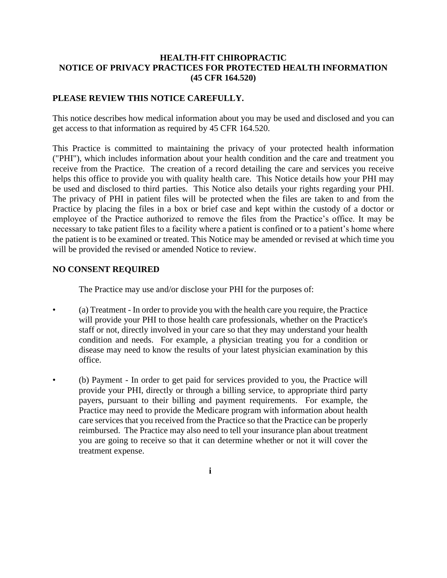## **HEALTH-FIT CHIROPRACTIC NOTICE OF PRIVACY PRACTICES FOR PROTECTED HEALTH INFORMATION (45 CFR 164.520)**

## **PLEASE REVIEW THIS NOTICE CAREFULLY.**

This notice describes how medical information about you may be used and disclosed and you can get access to that information as required by 45 CFR 164.520.

This Practice is committed to maintaining the privacy of your protected health information ("PHI"), which includes information about your health condition and the care and treatment you receive from the Practice. The creation of a record detailing the care and services you receive helps this office to provide you with quality health care. This Notice details how your PHI may be used and disclosed to third parties. This Notice also details your rights regarding your PHI. The privacy of PHI in patient files will be protected when the files are taken to and from the Practice by placing the files in a box or brief case and kept within the custody of a doctor or employee of the Practice authorized to remove the files from the Practice's office. It may be necessary to take patient files to a facility where a patient is confined or to a patient's home where the patient is to be examined or treated. This Notice may be amended or revised at which time you will be provided the revised or amended Notice to review.

## **NO CONSENT REQUIRED**

The Practice may use and/or disclose your PHI for the purposes of:

- (a) Treatment In order to provide you with the health care you require, the Practice will provide your PHI to those health care professionals, whether on the Practice's staff or not, directly involved in your care so that they may understand your health condition and needs. For example, a physician treating you for a condition or disease may need to know the results of your latest physician examination by this office.
- (b) Payment In order to get paid for services provided to you, the Practice will provide your PHI, directly or through a billing service, to appropriate third party payers, pursuant to their billing and payment requirements. For example, the Practice may need to provide the Medicare program with information about health care services that you received from the Practice so that the Practice can be properly reimbursed. The Practice may also need to tell your insurance plan about treatment you are going to receive so that it can determine whether or not it will cover the treatment expense.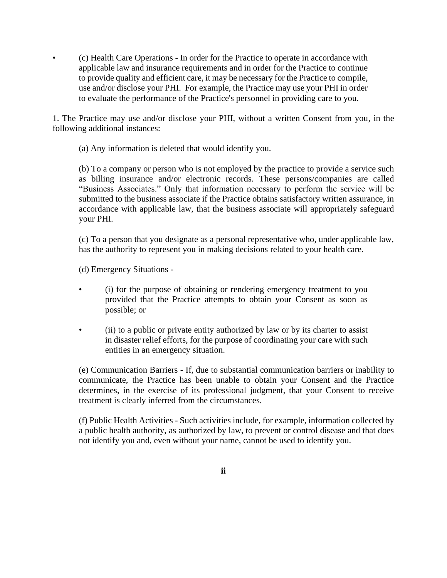• (c) Health Care Operations - In order for the Practice to operate in accordance with applicable law and insurance requirements and in order for the Practice to continue to provide quality and efficient care, it may be necessary for the Practice to compile, use and/or disclose your PHI. For example, the Practice may use your PHI in order to evaluate the performance of the Practice's personnel in providing care to you.

1. The Practice may use and/or disclose your PHI, without a written Consent from you, in the following additional instances:

(a) Any information is deleted that would identify you.

(b) To a company or person who is not employed by the practice to provide a service such as billing insurance and/or electronic records. These persons/companies are called "Business Associates." Only that information necessary to perform the service will be submitted to the business associate if the Practice obtains satisfactory written assurance, in accordance with applicable law, that the business associate will appropriately safeguard your PHI.

(c) To a person that you designate as a personal representative who, under applicable law, has the authority to represent you in making decisions related to your health care.

(d) Emergency Situations -

- (i) for the purpose of obtaining or rendering emergency treatment to you provided that the Practice attempts to obtain your Consent as soon as possible; or
- (ii) to a public or private entity authorized by law or by its charter to assist in disaster relief efforts, for the purpose of coordinating your care with such entities in an emergency situation.

(e) Communication Barriers - If, due to substantial communication barriers or inability to communicate, the Practice has been unable to obtain your Consent and the Practice determines, in the exercise of its professional judgment, that your Consent to receive treatment is clearly inferred from the circumstances.

(f) Public Health Activities - Such activities include, for example, information collected by a public health authority, as authorized by law, to prevent or control disease and that does not identify you and, even without your name, cannot be used to identify you.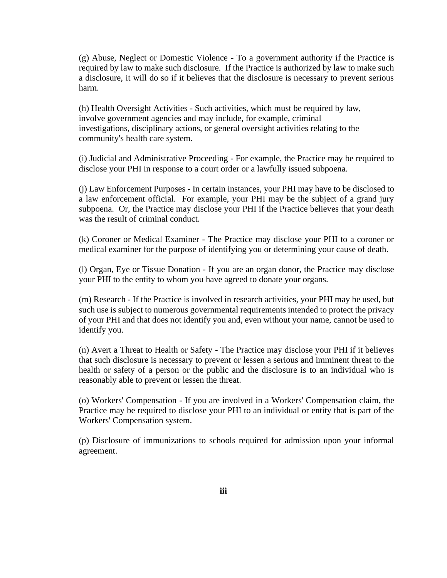(g) Abuse, Neglect or Domestic Violence - To a government authority if the Practice is required by law to make such disclosure. If the Practice is authorized by law to make such a disclosure, it will do so if it believes that the disclosure is necessary to prevent serious harm.

(h) Health Oversight Activities - Such activities, which must be required by law, involve government agencies and may include, for example, criminal investigations, disciplinary actions, or general oversight activities relating to the community's health care system.

(i) Judicial and Administrative Proceeding - For example, the Practice may be required to disclose your PHI in response to a court order or a lawfully issued subpoena.

(j) Law Enforcement Purposes - In certain instances, your PHI may have to be disclosed to a law enforcement official. For example, your PHI may be the subject of a grand jury subpoena. Or, the Practice may disclose your PHI if the Practice believes that your death was the result of criminal conduct.

(k) Coroner or Medical Examiner - The Practice may disclose your PHI to a coroner or medical examiner for the purpose of identifying you or determining your cause of death.

(l) Organ, Eye or Tissue Donation - If you are an organ donor, the Practice may disclose your PHI to the entity to whom you have agreed to donate your organs.

(m) Research - If the Practice is involved in research activities, your PHI may be used, but such use is subject to numerous governmental requirements intended to protect the privacy of your PHI and that does not identify you and, even without your name, cannot be used to identify you.

(n) Avert a Threat to Health or Safety - The Practice may disclose your PHI if it believes that such disclosure is necessary to prevent or lessen a serious and imminent threat to the health or safety of a person or the public and the disclosure is to an individual who is reasonably able to prevent or lessen the threat.

(o) Workers' Compensation - If you are involved in a Workers' Compensation claim, the Practice may be required to disclose your PHI to an individual or entity that is part of the Workers' Compensation system.

(p) Disclosure of immunizations to schools required for admission upon your informal agreement.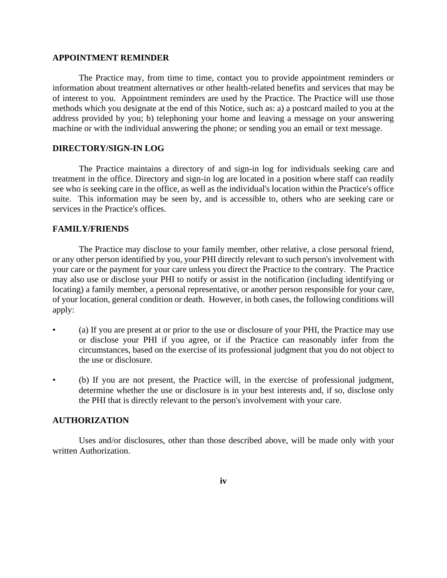#### **APPOINTMENT REMINDER**

The Practice may, from time to time, contact you to provide appointment reminders or information about treatment alternatives or other health-related benefits and services that may be of interest to you. Appointment reminders are used by the Practice. The Practice will use those methods which you designate at the end of this Notice, such as: a) a postcard mailed to you at the address provided by you; b) telephoning your home and leaving a message on your answering machine or with the individual answering the phone; or sending you an email or text message.

#### **DIRECTORY/SIGN-IN LOG**

The Practice maintains a directory of and sign-in log for individuals seeking care and treatment in the office. Directory and sign-in log are located in a position where staff can readily see who is seeking care in the office, as well as the individual's location within the Practice's office suite. This information may be seen by, and is accessible to, others who are seeking care or services in the Practice's offices.

### **FAMILY/FRIENDS**

The Practice may disclose to your family member, other relative, a close personal friend, or any other person identified by you, your PHI directly relevant to such person's involvement with your care or the payment for your care unless you direct the Practice to the contrary. The Practice may also use or disclose your PHI to notify or assist in the notification (including identifying or locating) a family member, a personal representative, or another person responsible for your care, of your location, general condition or death. However, in both cases, the following conditions will apply:

- (a) If you are present at or prior to the use or disclosure of your PHI, the Practice may use or disclose your PHI if you agree, or if the Practice can reasonably infer from the circumstances, based on the exercise of its professional judgment that you do not object to the use or disclosure.
- (b) If you are not present, the Practice will, in the exercise of professional judgment, determine whether the use or disclosure is in your best interests and, if so, disclose only the PHI that is directly relevant to the person's involvement with your care.

#### **AUTHORIZATION**

Uses and/or disclosures, other than those described above, will be made only with your written Authorization.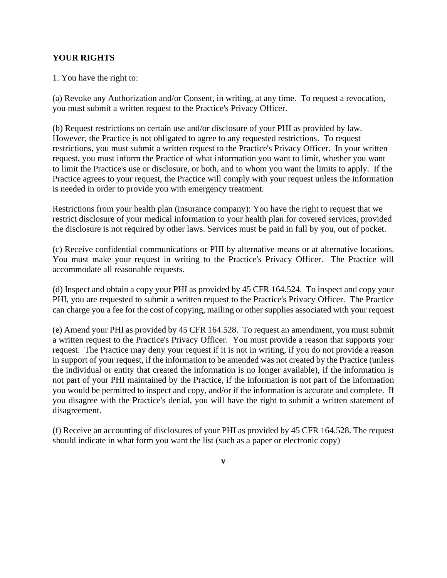# **YOUR RIGHTS**

1. You have the right to:

(a) Revoke any Authorization and/or Consent, in writing, at any time. To request a revocation, you must submit a written request to the Practice's Privacy Officer.

(b) Request restrictions on certain use and/or disclosure of your PHI as provided by law. However, the Practice is not obligated to agree to any requested restrictions. To request restrictions, you must submit a written request to the Practice's Privacy Officer. In your written request, you must inform the Practice of what information you want to limit, whether you want to limit the Practice's use or disclosure, or both, and to whom you want the limits to apply. If the Practice agrees to your request, the Practice will comply with your request unless the information is needed in order to provide you with emergency treatment.

Restrictions from your health plan (insurance company): You have the right to request that we restrict disclosure of your medical information to your health plan for covered services, provided the disclosure is not required by other laws. Services must be paid in full by you, out of pocket.

(c) Receive confidential communications or PHI by alternative means or at alternative locations. You must make your request in writing to the Practice's Privacy Officer. The Practice will accommodate all reasonable requests.

(d) Inspect and obtain a copy your PHI as provided by 45 CFR 164.524. To inspect and copy your PHI, you are requested to submit a written request to the Practice's Privacy Officer. The Practice can charge you a fee for the cost of copying, mailing or other supplies associated with your request

(e) Amend your PHI as provided by 45 CFR 164.528. To request an amendment, you must submit a written request to the Practice's Privacy Officer. You must provide a reason that supports your request. The Practice may deny your request if it is not in writing, if you do not provide a reason in support of your request, if the information to be amended was not created by the Practice (unless the individual or entity that created the information is no longer available), if the information is not part of your PHI maintained by the Practice, if the information is not part of the information you would be permitted to inspect and copy, and/or if the information is accurate and complete. If you disagree with the Practice's denial, you will have the right to submit a written statement of disagreement.

(f) Receive an accounting of disclosures of your PHI as provided by 45 CFR 164.528. The request should indicate in what form you want the list (such as a paper or electronic copy)

**v**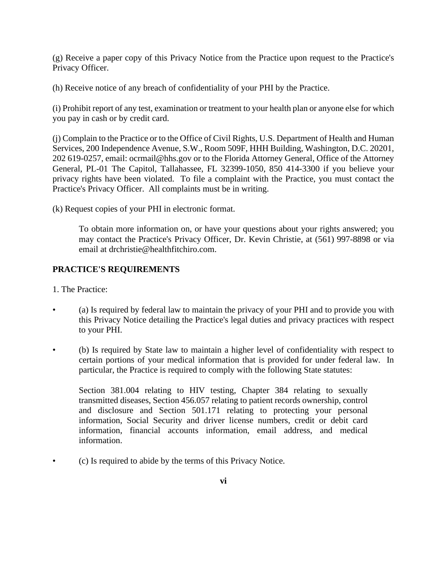(g) Receive a paper copy of this Privacy Notice from the Practice upon request to the Practice's Privacy Officer.

(h) Receive notice of any breach of confidentiality of your PHI by the Practice.

(i) Prohibit report of any test, examination or treatment to your health plan or anyone else for which you pay in cash or by credit card.

(j) Complain to the Practice or to the Office of Civil Rights, U.S. Department of Health and Human Services, 200 Independence Avenue, S.W., Room 509F, HHH Building, Washington, D.C. 20201, 202 619-0257, email: ocrmail@hhs.gov or to the Florida Attorney General, Office of the Attorney General, PL-01 The Capitol, Tallahassee, FL 32399-1050, 850 414-3300 if you believe your privacy rights have been violated. To file a complaint with the Practice, you must contact the Practice's Privacy Officer. All complaints must be in writing.

(k) Request copies of your PHI in electronic format.

To obtain more information on, or have your questions about your rights answered; you may contact the Practice's Privacy Officer, Dr. Kevin Christie, at (561) 997-8898 or via email at drchristie@healthfitchiro.com.

# **PRACTICE'S REQUIREMENTS**

1. The Practice:

- (a) Is required by federal law to maintain the privacy of your PHI and to provide you with this Privacy Notice detailing the Practice's legal duties and privacy practices with respect to your PHI.
- (b) Is required by State law to maintain a higher level of confidentiality with respect to certain portions of your medical information that is provided for under federal law. In particular, the Practice is required to comply with the following State statutes:

Section 381.004 relating to HIV testing, Chapter 384 relating to sexually transmitted diseases, Section 456.057 relating to patient records ownership, control and disclosure and Section 501.171 relating to protecting your personal information, Social Security and driver license numbers, credit or debit card information, financial accounts information, email address, and medical information.

• (c) Is required to abide by the terms of this Privacy Notice.